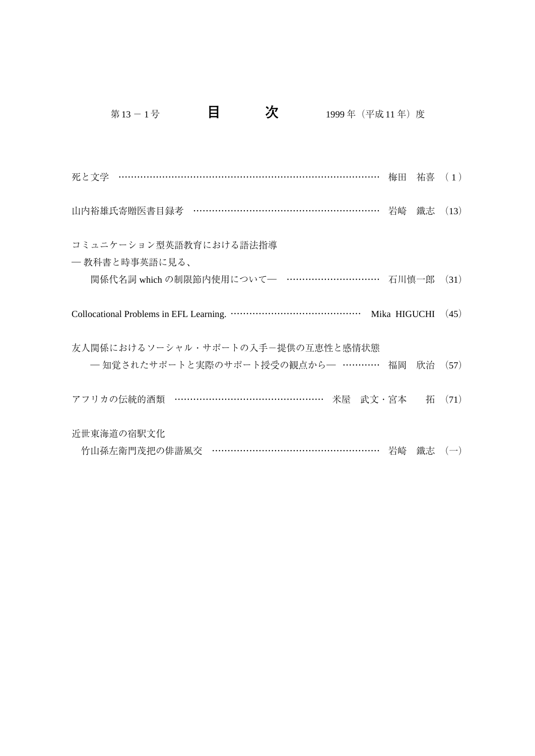| 死と文学 …………………………………………………………………………… 梅田 祐喜 (1)     |                     |    |          |
|--------------------------------------------------|---------------------|----|----------|
| 山内裕雄氏寄贈医書目録考 …………………………………………………… 岩崎             |                     | 鐵志 | (13)     |
| コミュニケーション型英語教育における語法指導<br>― 教科書と時事英語に見る、         |                     |    |          |
| 関係代名詞 which の制限節内使用について–– …………………………… 石川慎一郎 (31) |                     |    |          |
|                                                  | Mika HIGUCHI $(45)$ |    |          |
| 友人関係におけるソーシャル・サポートの入手ー提供の互恵性と感情状態                |                     |    |          |
| - 知覚されたサポートと実際のサポート授受の観点から- ………… 福岡 欣治 (57)      |                     |    |          |
| アフリカの伝統的酒類 ………………………………………… 米屋 武文・宮本             |                     |    | 拓 $(71)$ |
| 近世東海道の宿駅文化                                       |                     |    |          |
| 竹山孫左衛門茂把の俳諧風交 ……………………………………………… 岩崎 鐵志 (一)       |                     |    |          |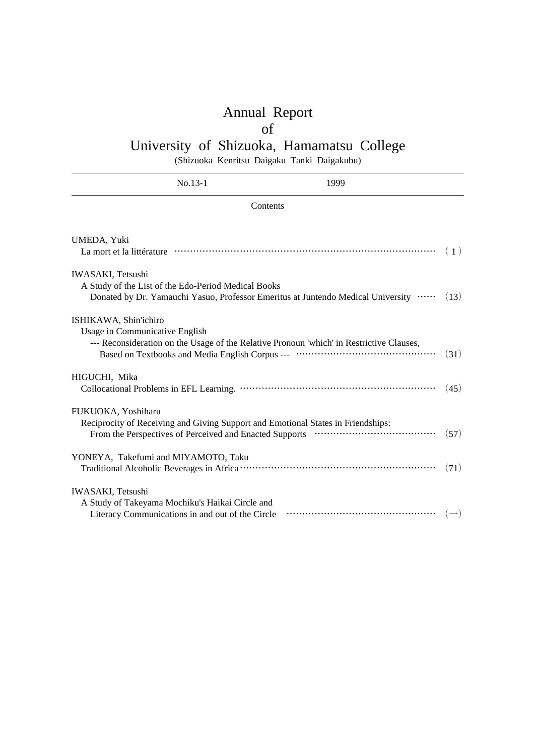# Annual Report

## of

# University of Shizuoka, Hamamatsu College

(Shizuoka Kenritsu Daigaku Tanki Daigakubu)

|                                                                              | $No.13-1$                                           | 1999                                                                                     |      |
|------------------------------------------------------------------------------|-----------------------------------------------------|------------------------------------------------------------------------------------------|------|
|                                                                              | Contents                                            |                                                                                          |      |
| UMEDA, Yuki                                                                  |                                                     |                                                                                          | (1)  |
| <b>IWASAKI, Tetsushi</b>                                                     | A Study of the List of the Edo-Period Medical Books | Donated by Dr. Yamauchi Yasuo, Professor Emeritus at Juntendo Medical University         | (13) |
| ISHIKAWA, Shin'ichiro<br>Usage in Communicative English                      |                                                     | --- Reconsideration on the Usage of the Relative Pronoun 'which' in Restrictive Clauses, | (31) |
| HIGUCHI, Mika                                                                |                                                     |                                                                                          | (45) |
| FUKUOKA, Yoshiharu                                                           |                                                     | Reciprocity of Receiving and Giving Support and Emotional States in Friendships:         | (57) |
| YONEYA, Takefumi and MIYAMOTO, Taku                                          |                                                     |                                                                                          | (71) |
| <b>IWASAKI</b> , Tetsushi<br>A Study of Takeyama Mochiku's Haikai Circle and | Literacy Communications in and out of the Circle    |                                                                                          |      |